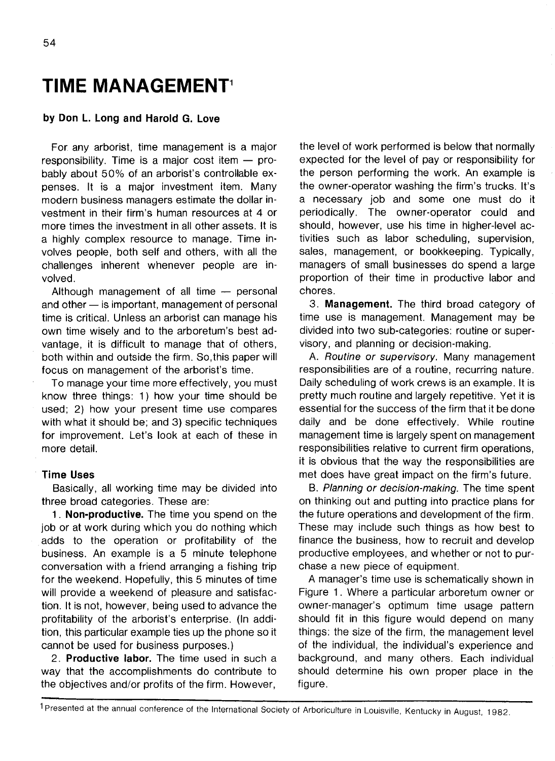# **TIME MANAGEMENT<sup>1</sup>**

## **by Don L. Long and Harold G. Love**

For any arborist, time management is a major responsibility. Time is a major cost item — probably about 50% of an arborist's controllable expenses. It is a major investment item. Many modern business managers estimate the dollar investment in their firm's human resources at 4 or more times the investment in all other assets. It is a highly complex resource to manage. Time involves people, both self and others, with all the challenges inherent whenever people are involved.

Although management of all time — personal and other — is important, management of personal time is critical. Unless an arborist can manage his own time wisely and to the arboretum's best advantage, it is difficult to manage that of others, both within and outside the firm. So,this paper will focus on management of the arborist's time.

To manage your time more effectively, you must know three things: 1) how your time should be used; 2) how your present time use compares with what it should be; and 3) specific techniques for improvement. Let's look at each of these in more detail.

#### **Time Uses**

Basically, all working time may be divided into three broad categories. These are:

**1**. **Non-productive.** The time you spend on the job or at work during which you do nothing which adds to the operation or profitability of the business. An example is a 5 minute telephone conversation with a friend arranging a fishing trip for the weekend. Hopefully, this 5 minutes of time will provide a weekend of pleasure and satisfaction. It is not, however, being used to advance the profitability of the arborist's enterprise. (In addition, this particular example ties up the phone so it cannot be used for business purposes.)

2. **Productive labor.** The time used in such a way that the accomplishments do contribute to the objectives and/or profits of the firm. However,

the level of work performed is below that normally expected for the level of pay or responsibility for the person performing the work. An example is the owner-operator washing the firm's trucks. It's a necessary job and some one must do it periodically. The owner-operator could and should, however, use his time in higher-level activities such as labor scheduling, supervision, sales, management, or bookkeeping. Typically, managers of small businesses do spend a large proportion of their time in productive labor and chores.

3. **Management.** The third broad category of time use is management. Management may be divided into two sub-categories: routine or supervisory, and planning or decision-making.

A. Routine or supervisory. Many management responsibilities are of a routine, recurring nature. Daily scheduling of work crews is an example. It is pretty much routine and largely repetitive. Yet it is essential for the success of the firm that it be done daily and be done effectively. While routine management time is largely spent on management responsibilities relative to current firm operations, it is obvious that the way the responsibilities are met does have great impact on the firm's future.

B. Planning or decision-making. The time spent on thinking out and putting into practice plans for the future operations and development of the firm. These may include such things as how best to finance the business, how to recruit and develop productive employees, and whether or not to purchase a new piece of equipment.

A manager's time use is schematically shown in Figure 1. Where a particular arboretum owner or owner-manager's optimum time usage pattern should fit in this figure would depend on many things: the size of the firm, the management level of the individual, the individual's experience and background, and many others. Each individual should determine his own proper place in the figure.

<sup>1</sup> Presented at the annual conference of the International Society of Arboriculture in Louisville, Kentucky in August, 1982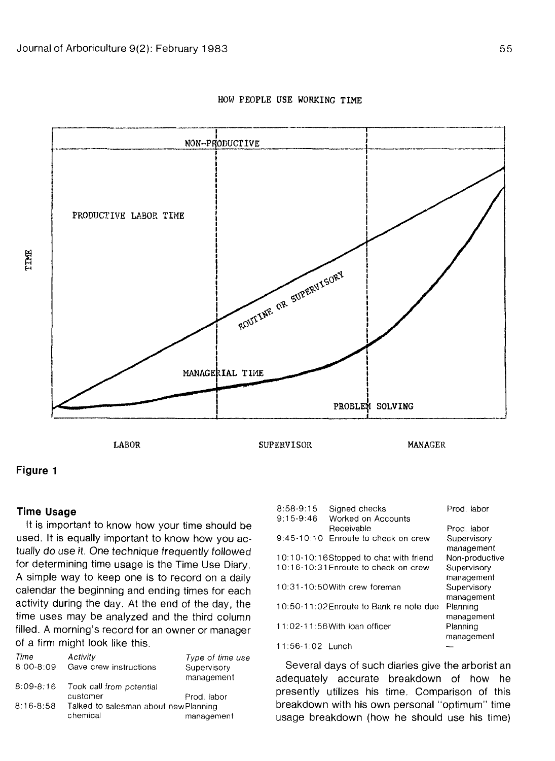

# HOW PEOPLE USE WORKING TIME

**Figure 1**

## **Time Usage**

It is important to know how your time should be used. It is equally important to know how you actually do use it. One technique frequently followed for determining time usage is the Time Use Diary. A simple way to keep one is to record on a daily calendar the beginning and ending times for each activity during the day. At the end of the day, the time uses may be analyzed and the third column filled. A morning's record for an owner or manager of a firm might look like this.

| Activity                              | Type of time use |
|---------------------------------------|------------------|
| Gave crew instructions                | Supervisory      |
|                                       | management       |
| Took call from potential              |                  |
| customer                              | Prod. labor      |
| Talked to salesman about new Planning |                  |
| chemical                              | management       |
|                                       |                  |

| $8:58-9:15$      | Signed checks                           | Prod. labor    |
|------------------|-----------------------------------------|----------------|
| $9:15-9:46$      | Worked on Accounts<br>Receivable        | Prod. labor    |
| 9:45-10:10       | Enroute to check on crew                | Supervisory    |
|                  |                                         | management     |
|                  | 10:10-10:16Stopped to chat with friend  | Non-productive |
|                  | 10:16-10:31 Enroute to check on crew    | Supervisory    |
|                  |                                         | management     |
|                  | 10:31-10:50With crew foreman            | Supervisory    |
|                  |                                         | management     |
|                  | 10:50-11:02 Enroute to Bank re note due | Planning       |
|                  |                                         | management     |
|                  | 11:02-11:56 With loan officer           | Planning       |
|                  |                                         | management     |
| 11:56-1:02 Lunch |                                         |                |

Several days of such diaries give the arborist an adequately accurate breakdown of how he presently utilizes his time. Comparison of this breakdown with his own personal "optimum" time usage breakdown (how he should use his time)